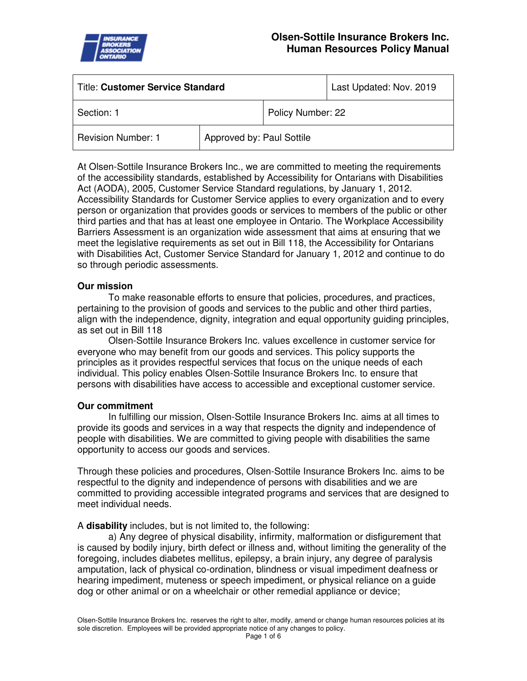

| <b>Title: Customer Service Standard</b> |                           |                   | Last Updated: Nov. 2019 |
|-----------------------------------------|---------------------------|-------------------|-------------------------|
| Section: 1                              |                           | Policy Number: 22 |                         |
| <b>Revision Number: 1</b>               | Approved by: Paul Sottile |                   |                         |

At Olsen-Sottile Insurance Brokers Inc., we are committed to meeting the requirements of the accessibility standards, established by Accessibility for Ontarians with Disabilities Act (AODA), 2005, Customer Service Standard regulations, by January 1, 2012. Accessibility Standards for Customer Service applies to every organization and to every person or organization that provides goods or services to members of the public or other third parties and that has at least one employee in Ontario. The Workplace Accessibility Barriers Assessment is an organization wide assessment that aims at ensuring that we meet the legislative requirements as set out in Bill 118, the Accessibility for Ontarians with Disabilities Act, Customer Service Standard for January 1, 2012 and continue to do so through periodic assessments.

# **Our mission**

To make reasonable efforts to ensure that policies, procedures, and practices, pertaining to the provision of goods and services to the public and other third parties, align with the independence, dignity, integration and equal opportunity guiding principles, as set out in Bill 118

Olsen-Sottile Insurance Brokers Inc. values excellence in customer service for everyone who may benefit from our goods and services. This policy supports the principles as it provides respectful services that focus on the unique needs of each individual. This policy enables Olsen-Sottile Insurance Brokers Inc. to ensure that persons with disabilities have access to accessible and exceptional customer service.

# **Our commitment**

In fulfilling our mission, Olsen-Sottile Insurance Brokers Inc. aims at all times to provide its goods and services in a way that respects the dignity and independence of people with disabilities. We are committed to giving people with disabilities the same opportunity to access our goods and services.

Through these policies and procedures, Olsen-Sottile Insurance Brokers Inc. aims to be respectful to the dignity and independence of persons with disabilities and we are committed to providing accessible integrated programs and services that are designed to meet individual needs.

A **disability** includes, but is not limited to, the following:

a) Any degree of physical disability, infirmity, malformation or disfigurement that is caused by bodily injury, birth defect or illness and, without limiting the generality of the foregoing, includes diabetes mellitus, epilepsy, a brain injury, any degree of paralysis amputation, lack of physical co-ordination, blindness or visual impediment deafness or hearing impediment, muteness or speech impediment, or physical reliance on a guide dog or other animal or on a wheelchair or other remedial appliance or device;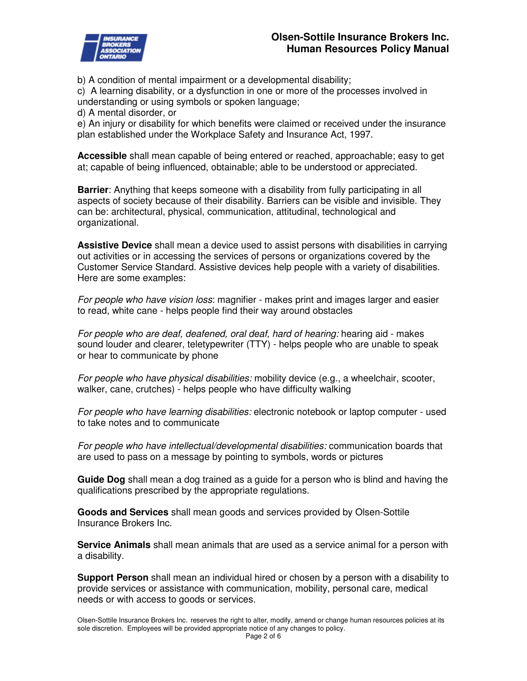

b) A condition of mental impairment or a developmental disability;

c) A learning disability, or a dysfunction in one or more of the processes involved in understanding or using symbols or spoken language;

d) A mental disorder, or

e) An injury or disability for which benefits were claimed or received under the insurance plan established under the Workplace Safety and Insurance Act, 1997.

**Accessible** shall mean capable of being entered or reached, approachable; easy to get at; capable of being influenced, obtainable; able to be understood or appreciated.

**Barrier**: Anything that keeps someone with a disability from fully participating in all aspects of society because of their disability. Barriers can be visible and invisible. They can be: architectural, physical, communication, attitudinal, technological and organizational.

**Assistive Device** shall mean a device used to assist persons with disabilities in carrying out activities or in accessing the services of persons or organizations covered by the Customer Service Standard. Assistive devices help people with a variety of disabilities. Here are some examples:

For people who have vision loss: magnifier - makes print and images larger and easier to read, white cane - helps people find their way around obstacles

For people who are deaf, deafened, oral deaf, hard of hearing: hearing aid - makes sound louder and clearer, teletypewriter (TTY) - helps people who are unable to speak or hear to communicate by phone

For people who have physical disabilities: mobility device (e.g., a wheelchair, scooter, walker, cane, crutches) - helps people who have difficulty walking

For people who have learning disabilities: electronic notebook or laptop computer - used to take notes and to communicate

For people who have intellectual/developmental disabilities: communication boards that are used to pass on a message by pointing to symbols, words or pictures

**Guide Dog** shall mean a dog trained as a guide for a person who is blind and having the qualifications prescribed by the appropriate regulations.

**Goods and Services** shall mean goods and services provided by Olsen-Sottile Insurance Brokers Inc.

**Service Animals** shall mean animals that are used as a service animal for a person with a disability.

**Support Person** shall mean an individual hired or chosen by a person with a disability to provide services or assistance with communication, mobility, personal care, medical needs or with access to goods or services.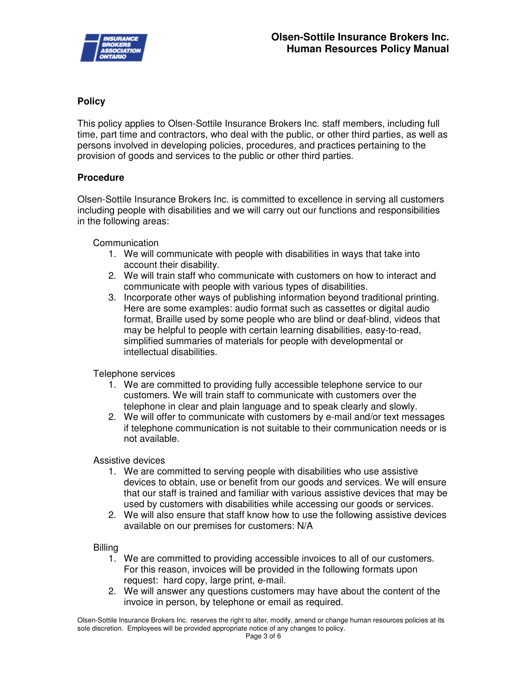

# **Policy**

This policy applies to Olsen-Sottile Insurance Brokers Inc. staff members, including full time, part time and contractors, who deal with the public, or other third parties, as well as persons involved in developing policies, procedures, and practices pertaining to the provision of goods and services to the public or other third parties.

# **Procedure**

Olsen-Sottile Insurance Brokers Inc. is committed to excellence in serving all customers including people with disabilities and we will carry out our functions and responsibilities in the following areas:

Communication

- 1. We will communicate with people with disabilities in ways that take into account their disability.
- 2. We will train staff who communicate with customers on how to interact and communicate with people with various types of disabilities.
- 3. Incorporate other ways of publishing information beyond traditional printing. Here are some examples: audio format such as cassettes or digital audio format, Braille used by some people who are blind or deaf-blind, videos that may be helpful to people with certain learning disabilities, easy-to-read, simplified summaries of materials for people with developmental or intellectual disabilities.

Telephone services

- 1. We are committed to providing fully accessible telephone service to our customers. We will train staff to communicate with customers over the telephone in clear and plain language and to speak clearly and slowly.
- 2. We will offer to communicate with customers by e-mail and/or text messages if telephone communication is not suitable to their communication needs or is not available.

Assistive devices

- 1. We are committed to serving people with disabilities who use assistive devices to obtain, use or benefit from our goods and services. We will ensure that our staff is trained and familiar with various assistive devices that may be used by customers with disabilities while accessing our goods or services.
- 2. We will also ensure that staff know how to use the following assistive devices available on our premises for customers: N/A

Billing

- 1. We are committed to providing accessible invoices to all of our customers. For this reason, invoices will be provided in the following formats upon request: hard copy, large print, e-mail.
- 2. We will answer any questions customers may have about the content of the invoice in person, by telephone or email as required.

Olsen-Sottile Insurance Brokers Inc. reserves the right to alter, modify, amend or change human resources policies at its sole discretion. Employees will be provided appropriate notice of any changes to policy.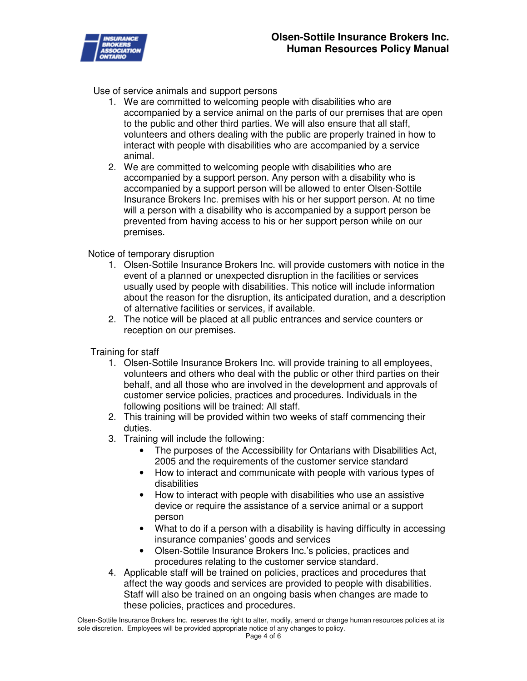

Use of service animals and support persons

- 1. We are committed to welcoming people with disabilities who are accompanied by a service animal on the parts of our premises that are open to the public and other third parties. We will also ensure that all staff, volunteers and others dealing with the public are properly trained in how to interact with people with disabilities who are accompanied by a service animal.
- 2. We are committed to welcoming people with disabilities who are accompanied by a support person. Any person with a disability who is accompanied by a support person will be allowed to enter Olsen-Sottile Insurance Brokers Inc. premises with his or her support person. At no time will a person with a disability who is accompanied by a support person be prevented from having access to his or her support person while on our premises.

Notice of temporary disruption

- 1. Olsen-Sottile Insurance Brokers Inc. will provide customers with notice in the event of a planned or unexpected disruption in the facilities or services usually used by people with disabilities. This notice will include information about the reason for the disruption, its anticipated duration, and a description of alternative facilities or services, if available.
- 2. The notice will be placed at all public entrances and service counters or reception on our premises.

Training for staff

- 1. Olsen-Sottile Insurance Brokers Inc. will provide training to all employees, volunteers and others who deal with the public or other third parties on their behalf, and all those who are involved in the development and approvals of customer service policies, practices and procedures. Individuals in the following positions will be trained: All staff.
- 2. This training will be provided within two weeks of staff commencing their duties.
- 3. Training will include the following:
	- The purposes of the Accessibility for Ontarians with Disabilities Act, 2005 and the requirements of the customer service standard
	- How to interact and communicate with people with various types of disabilities
	- How to interact with people with disabilities who use an assistive device or require the assistance of a service animal or a support person
	- What to do if a person with a disability is having difficulty in accessing insurance companies' goods and services
	- Olsen-Sottile Insurance Brokers Inc.'s policies, practices and procedures relating to the customer service standard.
- 4. Applicable staff will be trained on policies, practices and procedures that affect the way goods and services are provided to people with disabilities. Staff will also be trained on an ongoing basis when changes are made to these policies, practices and procedures.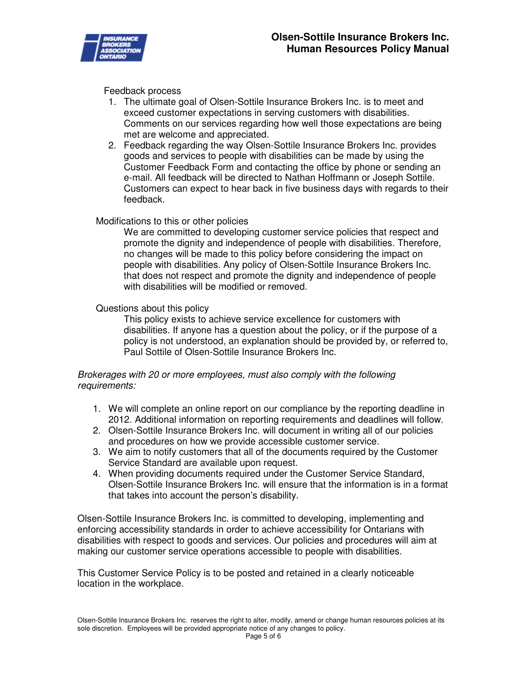

#### Feedback process

- 1. The ultimate goal of Olsen-Sottile Insurance Brokers Inc. is to meet and exceed customer expectations in serving customers with disabilities. Comments on our services regarding how well those expectations are being met are welcome and appreciated.
- 2. Feedback regarding the way Olsen-Sottile Insurance Brokers Inc. provides goods and services to people with disabilities can be made by using the Customer Feedback Form and contacting the office by phone or sending an e-mail. All feedback will be directed to Nathan Hoffmann or Joseph Sottile. Customers can expect to hear back in five business days with regards to their feedback.

# Modifications to this or other policies

We are committed to developing customer service policies that respect and promote the dignity and independence of people with disabilities. Therefore, no changes will be made to this policy before considering the impact on people with disabilities. Any policy of Olsen-Sottile Insurance Brokers Inc. that does not respect and promote the dignity and independence of people with disabilities will be modified or removed.

# Questions about this policy

This policy exists to achieve service excellence for customers with disabilities. If anyone has a question about the policy, or if the purpose of a policy is not understood, an explanation should be provided by, or referred to, Paul Sottile of Olsen-Sottile Insurance Brokers Inc.

# Brokerages with 20 or more employees, must also comply with the following requirements:

- 1. We will complete an online report on our compliance by the reporting deadline in 2012. Additional information on reporting requirements and deadlines will follow.
- 2. Olsen-Sottile Insurance Brokers Inc. will document in writing all of our policies and procedures on how we provide accessible customer service.
- 3. We aim to notify customers that all of the documents required by the Customer Service Standard are available upon request.
- 4. When providing documents required under the Customer Service Standard, Olsen-Sottile Insurance Brokers Inc. will ensure that the information is in a format that takes into account the person's disability.

Olsen-Sottile Insurance Brokers Inc. is committed to developing, implementing and enforcing accessibility standards in order to achieve accessibility for Ontarians with disabilities with respect to goods and services. Our policies and procedures will aim at making our customer service operations accessible to people with disabilities.

This Customer Service Policy is to be posted and retained in a clearly noticeable location in the workplace.